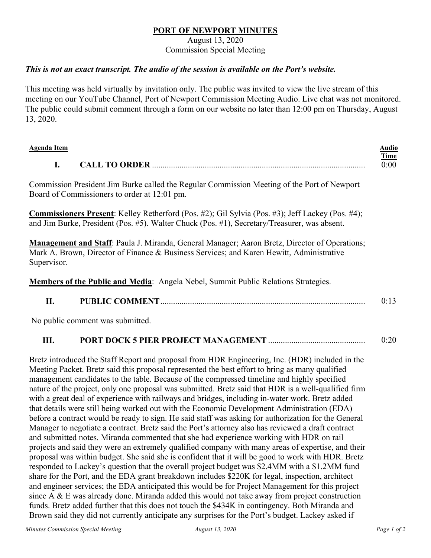## **PORT OF NEWPORT MINUTES**

August 13, 2020

Commission Special Meeting

## *This is not an exact transcript. The audio of the session is available on the Port's website.*

This meeting was held virtually by invitation only. The public was invited to view the live stream of this meeting on our YouTube Channel, Port of Newport Commission Meeting Audio. Live chat was not monitored. The public could submit comment through a form on our website no later than 12:00 pm on Thursday, August 13, 2020.

| <b>Agenda Item</b>                                                                                                                                                                                                                                                                                                                                                                                                                                                                                                                                                                                                                                                                                                                                                                                                                                                                                                                                                                                                                                                                                                                                                                                                                                                                                                                                                                                                                                                                                                                                                                                                                                                                                                                                   |                                                                                    | <b>Audio</b>        |
|------------------------------------------------------------------------------------------------------------------------------------------------------------------------------------------------------------------------------------------------------------------------------------------------------------------------------------------------------------------------------------------------------------------------------------------------------------------------------------------------------------------------------------------------------------------------------------------------------------------------------------------------------------------------------------------------------------------------------------------------------------------------------------------------------------------------------------------------------------------------------------------------------------------------------------------------------------------------------------------------------------------------------------------------------------------------------------------------------------------------------------------------------------------------------------------------------------------------------------------------------------------------------------------------------------------------------------------------------------------------------------------------------------------------------------------------------------------------------------------------------------------------------------------------------------------------------------------------------------------------------------------------------------------------------------------------------------------------------------------------------|------------------------------------------------------------------------------------|---------------------|
| I.                                                                                                                                                                                                                                                                                                                                                                                                                                                                                                                                                                                                                                                                                                                                                                                                                                                                                                                                                                                                                                                                                                                                                                                                                                                                                                                                                                                                                                                                                                                                                                                                                                                                                                                                                   |                                                                                    | <b>Time</b><br>0:00 |
| Commission President Jim Burke called the Regular Commission Meeting of the Port of Newport<br>Board of Commissioners to order at 12:01 pm.                                                                                                                                                                                                                                                                                                                                                                                                                                                                                                                                                                                                                                                                                                                                                                                                                                                                                                                                                                                                                                                                                                                                                                                                                                                                                                                                                                                                                                                                                                                                                                                                          |                                                                                    |                     |
| Commissioners Present: Kelley Retherford (Pos. #2); Gil Sylvia (Pos. #3); Jeff Lackey (Pos. #4);<br>and Jim Burke, President (Pos. #5). Walter Chuck (Pos. #1), Secretary/Treasurer, was absent.                                                                                                                                                                                                                                                                                                                                                                                                                                                                                                                                                                                                                                                                                                                                                                                                                                                                                                                                                                                                                                                                                                                                                                                                                                                                                                                                                                                                                                                                                                                                                     |                                                                                    |                     |
| Management and Staff: Paula J. Miranda, General Manager; Aaron Bretz, Director of Operations;<br>Mark A. Brown, Director of Finance & Business Services; and Karen Hewitt, Administrative<br>Supervisor.                                                                                                                                                                                                                                                                                                                                                                                                                                                                                                                                                                                                                                                                                                                                                                                                                                                                                                                                                                                                                                                                                                                                                                                                                                                                                                                                                                                                                                                                                                                                             |                                                                                    |                     |
|                                                                                                                                                                                                                                                                                                                                                                                                                                                                                                                                                                                                                                                                                                                                                                                                                                                                                                                                                                                                                                                                                                                                                                                                                                                                                                                                                                                                                                                                                                                                                                                                                                                                                                                                                      | Members of the Public and Media: Angela Nebel, Summit Public Relations Strategies. |                     |
| II.                                                                                                                                                                                                                                                                                                                                                                                                                                                                                                                                                                                                                                                                                                                                                                                                                                                                                                                                                                                                                                                                                                                                                                                                                                                                                                                                                                                                                                                                                                                                                                                                                                                                                                                                                  |                                                                                    | 0:13                |
| No public comment was submitted.                                                                                                                                                                                                                                                                                                                                                                                                                                                                                                                                                                                                                                                                                                                                                                                                                                                                                                                                                                                                                                                                                                                                                                                                                                                                                                                                                                                                                                                                                                                                                                                                                                                                                                                     |                                                                                    |                     |
| Ш.                                                                                                                                                                                                                                                                                                                                                                                                                                                                                                                                                                                                                                                                                                                                                                                                                                                                                                                                                                                                                                                                                                                                                                                                                                                                                                                                                                                                                                                                                                                                                                                                                                                                                                                                                   |                                                                                    | 0:20                |
| Bretz introduced the Staff Report and proposal from HDR Engineering, Inc. (HDR) included in the<br>Meeting Packet. Bretz said this proposal represented the best effort to bring as many qualified<br>management candidates to the table. Because of the compressed timeline and highly specified<br>nature of the project, only one proposal was submitted. Bretz said that HDR is a well-qualified firm<br>with a great deal of experience with railways and bridges, including in-water work. Bretz added<br>that details were still being worked out with the Economic Development Administration (EDA)<br>before a contract would be ready to sign. He said staff was asking for authorization for the General<br>Manager to negotiate a contract. Bretz said the Port's attorney also has reviewed a draft contract<br>and submitted notes. Miranda commented that she had experience working with HDR on rail<br>projects and said they were an extremely qualified company with many areas of expertise, and their<br>proposal was within budget. She said she is confident that it will be good to work with HDR. Bretz<br>responded to Lackey's question that the overall project budget was \$2.4MM with a \$1.2MM fund<br>share for the Port, and the EDA grant breakdown includes \$220K for legal, inspection, architect<br>and engineer services; the EDA anticipated this would be for Project Management for this project<br>since A & E was already done. Miranda added this would not take away from project construction<br>funds. Bretz added further that this does not touch the \$434K in contingency. Both Miranda and<br>Brown said they did not currently anticipate any surprises for the Port's budget. Lackey asked if |                                                                                    |                     |